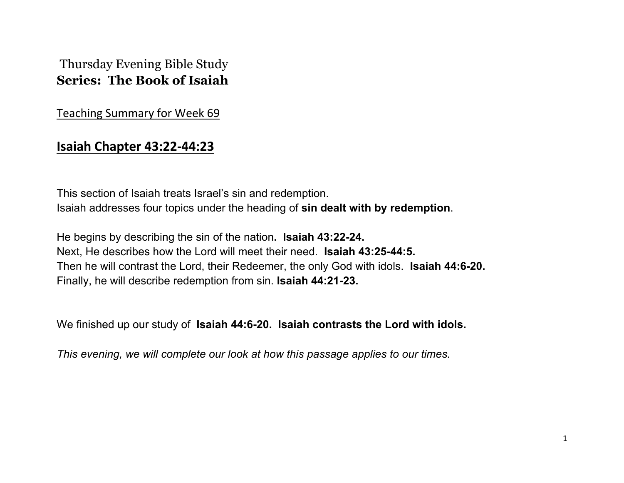## Thursday Evening Bible Study **Series: The Book of Isaiah**

Teaching Summary for Week 69

## **Isaiah Chapter 43:22-44:23**

This section of Isaiah treats Israel's sin and redemption. Isaiah addresses four topics under the heading of **sin dealt with by redemption**.

He begins by describing the sin of the nation**. Isaiah 43:22-24.** Next, He describes how the Lord will meet their need. **Isaiah 43:25-44:5.** Then he will contrast the Lord, their Redeemer, the only God with idols. **Isaiah 44:6-20.** Finally, he will describe redemption from sin. **Isaiah 44:21-23.**

We finished up our study of **Isaiah 44:6-20. Isaiah contrasts the Lord with idols.** 

*This evening, we will complete our look at how this passage applies to our times.*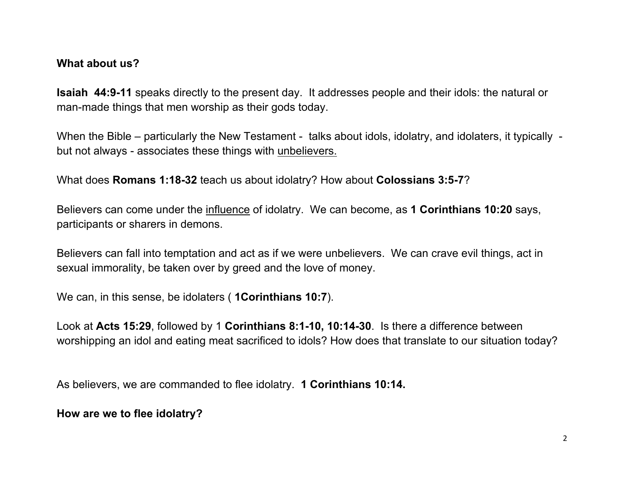## **What about us?**

**Isaiah 44:9-11** speaks directly to the present day. It addresses people and their idols: the natural or man-made things that men worship as their gods today.

When the Bible – particularly the New Testament - talks about idols, idolatry, and idolaters, it typically but not always - associates these things with unbelievers.

What does **Romans 1:18-32** teach us about idolatry? How about **Colossians 3:5-7**?

Believers can come under the influence of idolatry. We can become, as **1 Corinthians 10:20** says, participants or sharers in demons.

Believers can fall into temptation and act as if we were unbelievers. We can crave evil things, act in sexual immorality, be taken over by greed and the love of money.

We can, in this sense, be idolaters ( **1Corinthians 10:7**).

Look at **Acts 15:29**, followed by 1 **Corinthians 8:1-10, 10:14-30**. Is there a difference between worshipping an idol and eating meat sacrificed to idols? How does that translate to our situation today?

As believers, we are commanded to flee idolatry. **1 Corinthians 10:14.**

**How are we to flee idolatry?**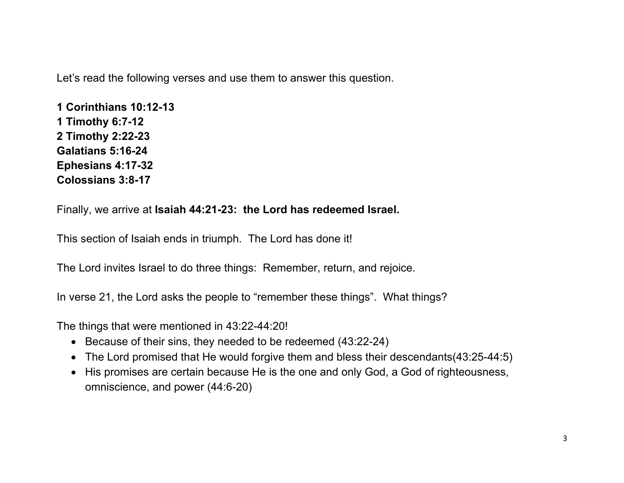Let's read the following verses and use them to answer this question.

**1 Corinthians 10:12-13 1 Timothy 6:7-12 2 Timothy 2:22-23 Galatians 5:16-24 Ephesians 4:17-32 Colossians 3:8-17**

Finally, we arrive at **Isaiah 44:21-23: the Lord has redeemed Israel.** 

This section of Isaiah ends in triumph. The Lord has done it!

The Lord invites Israel to do three things: Remember, return, and rejoice.

In verse 21, the Lord asks the people to "remember these things". What things?

The things that were mentioned in 43:22-44:20!

- Because of their sins, they needed to be redeemed (43:22-24)
- The Lord promised that He would forgive them and bless their descendants(43:25-44:5)
- His promises are certain because He is the one and only God, a God of righteousness, omniscience, and power (44:6-20)